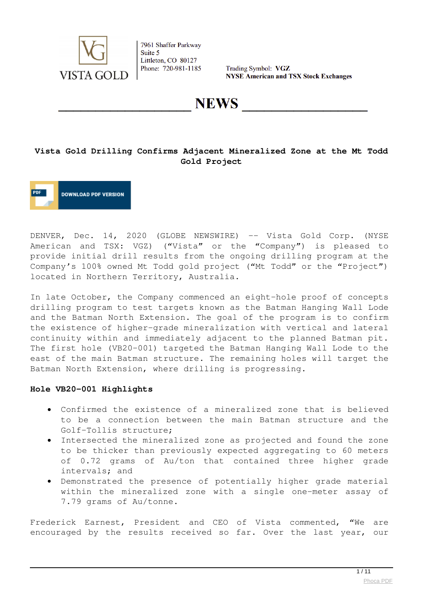

Trading Symbol: VGZ **NYSE American and TSX Stock Exchanges** 

**NEWS** 

### **Vista Gold Drilling Confirms Adjacent Mineralized Zone at the Mt Todd Gold Project**

**DOWNLOAD PDF VERSION** 

DENVER, Dec. 14, 2020 (GLOBE NEWSWIRE) -- Vista Gold Corp. (NYSE American and TSX: VGZ) ("Vista" or the "Company") is pleased to provide initial drill results from the ongoing drilling program at the Company's 100% owned Mt Todd gold project ("Mt Todd" or the "Project") located in Northern Territory, Australia.

In late October, the Company commenced an eight-hole proof of concepts drilling program to test targets known as the Batman Hanging Wall Lode and the Batman North Extension. The goal of the program is to confirm the existence of higher-grade mineralization with vertical and lateral continuity within and immediately adjacent to the planned Batman pit. The first hole (VB20-001) targeted the Batman Hanging Wall Lode to the east of the main Batman structure. The remaining holes will target the Batman North Extension, where drilling is progressing.

#### **Hole VB20-001 Highlights**

- Confirmed the existence of a mineralized zone that is believed to be a connection between the main Batman structure and the Golf-Tollis structure;
- Intersected the mineralized zone as projected and found the zone to be thicker than previously expected aggregating to 60 meters of 0.72 grams of Au/ton that contained three higher grade intervals; and
- Demonstrated the presence of potentially higher grade material within the mineralized zone with a single one-meter assay of 7.79 grams of Au/tonne.

Frederick Earnest, President and CEO of Vista commented, "We are encouraged by the results received so far. Over the last year, our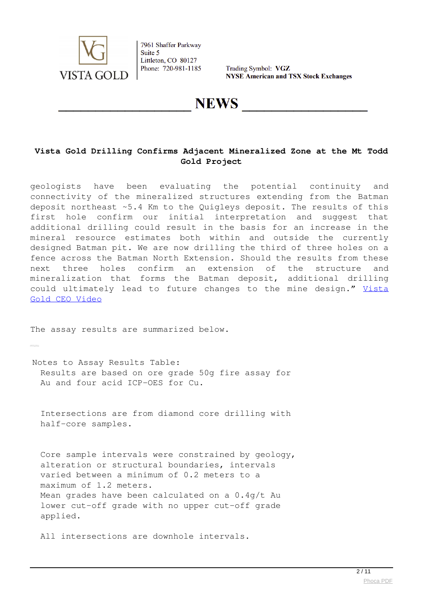

Trading Symbol: VGZ **NYSE American and TSX Stock Exchanges** 

## **NEWS**

#### **Vista Gold Drilling Confirms Adjacent Mineralized Zone at the Mt Todd Gold Project**

geologists have been evaluating the potential continuity and connectivity of the mineralized structures extending from the Batman deposit northeast ~5.4 Km to the Quigleys deposit. The results of this first hole confirm our initial interpretation and suggest that additional drilling could result in the basis for an increase in the mineral resource estimates both within and outside the currently designed Batman pit. We are now drilling the third of three holes on a fence across the Batman North Extension. Should the results from these next three holes confirm an extension of the structure and mineralization that forms the Batman deposit, additional drilling could ultimately lead to future changes to the mine design." [Vista](https://www.globenewswire.com/Tracker?data=GKKAU9_IlnPUG3gdEspjJ0htCfICd_t5LTsZhWb2GLVBByMqhv0SiTkHeq3URU2O3PPhnue14f8FRbZpEDe0xOGYM_mULpUnWlpulFOAUR4=) [Gold CEO Video](https://www.globenewswire.com/Tracker?data=GKKAU9_IlnPUG3gdEspjJ0htCfICd_t5LTsZhWb2GLVBByMqhv0SiTkHeq3URU2O3PPhnue14f8FRbZpEDe0xOGYM_mULpUnWlpulFOAUR4=)

The assay results are summarized below.

Notes to Assay Results Table: Results are based on ore grade 50g fire assay for Au and four acid ICP-OES for Cu.

Intersections are from diamond core drilling with half-core samples.

Core sample intervals were constrained by geology, alteration or structural boundaries, intervals varied between a minimum of 0.2 meters to a maximum of 1.2 meters. Mean grades have been calculated on a 0.4g/t Au lower cut-off grade with no upper cut-off grade applied.

All intersections are downhole intervals.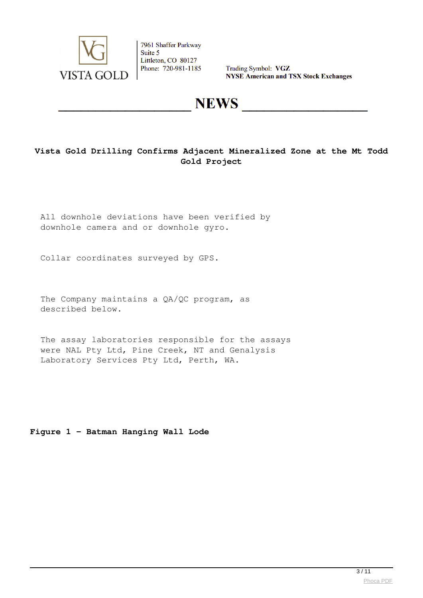

Trading Symbol: VGZ **NYSE American and TSX Stock Exchanges** 

# **NEWS**

### **Vista Gold Drilling Confirms Adjacent Mineralized Zone at the Mt Todd Gold Project**

All downhole deviations have been verified by downhole camera and or downhole gyro.

Collar coordinates surveyed by GPS.

The Company maintains a QA/QC program, as described below.

The assay laboratories responsible for the assays were NAL Pty Ltd, Pine Creek, NT and Genalysis Laboratory Services Pty Ltd, Perth, WA.

**Figure 1 – Batman Hanging Wall Lode**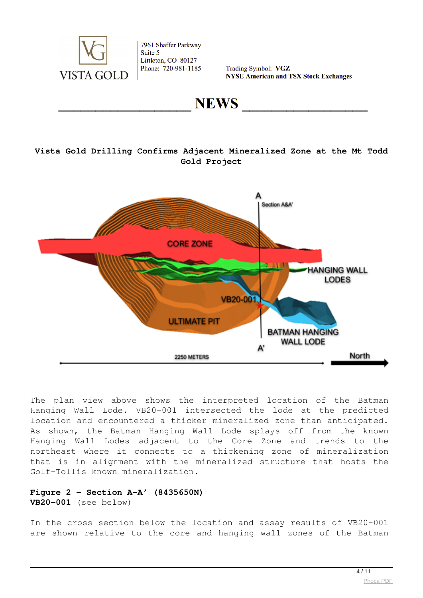

Trading Symbol: VGZ **NYSE American and TSX Stock Exchanges** 

**NEWS** 

### **Vista Gold Drilling Confirms Adjacent Mineralized Zone at the Mt Todd Gold Project**



The plan view above shows the interpreted location of the Batman Hanging Wall Lode. VB20-001 intersected the lode at the predicted location and encountered a thicker mineralized zone than anticipated. As shown, the Batman Hanging Wall Lode splays off from the known Hanging Wall Lodes adjacent to the Core Zone and trends to the northeast where it connects to a thickening zone of mineralization that is in alignment with the mineralized structure that hosts the Golf-Tollis known mineralization.

## **Figure 2 – Section A-A' (8435650N)**

**VB20-001** (see below)

In the cross section below the location and assay results of VB20-001 are shown relative to the core and hanging wall zones of the Batman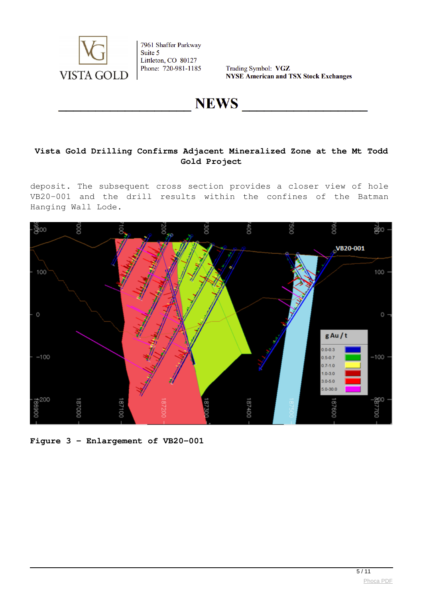

Trading Symbol: VGZ **NYSE American and TSX Stock Exchanges** 

# **NEWS**

### **Vista Gold Drilling Confirms Adjacent Mineralized Zone at the Mt Todd Gold Project**

deposit. The subsequent cross section provides a closer view of hole VB20-001 and the drill results within the confines of the Batman Hanging Wall Lode.



**Figure 3 – Enlargement of VB20-001**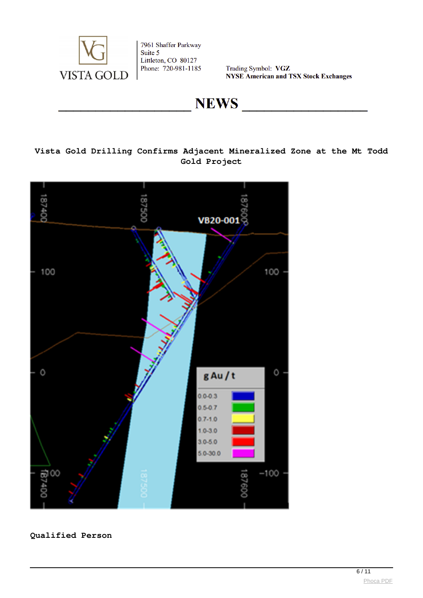

Trading Symbol: VGZ<br>NYSE American and TSX Stock Exchanges

**NEWS** 

### **Vista Gold Drilling Confirms Adjacent Mineralized Zone at the Mt Todd Gold Project**



**Qualified Person**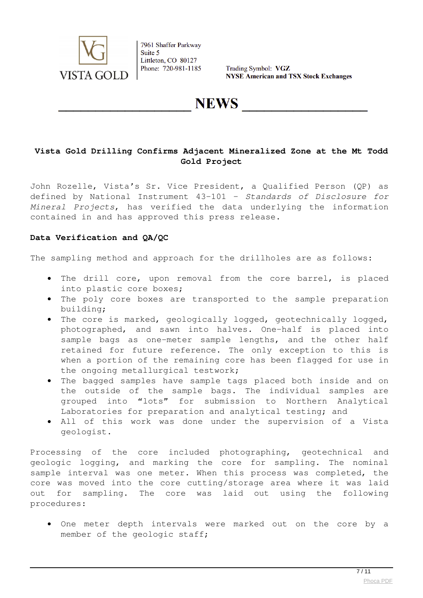

Trading Symbol: VGZ **NYSE American and TSX Stock Exchanges** 

**NEWS** 

### **Vista Gold Drilling Confirms Adjacent Mineralized Zone at the Mt Todd Gold Project**

John Rozelle, Vista's Sr. Vice President, a Qualified Person (QP) as defined by National Instrument 43-101 – *Standards of Disclosure for Mineral Projects*, has verified the data underlying the information contained in and has approved this press release.

#### **Data Verification and QA/QC**

The sampling method and approach for the drillholes are as follows:

- The drill core, upon removal from the core barrel, is placed into plastic core boxes;
- The poly core boxes are transported to the sample preparation building;
- The core is marked, geologically logged, geotechnically logged, photographed, and sawn into halves. One-half is placed into sample bags as one-meter sample lengths, and the other half retained for future reference. The only exception to this is when a portion of the remaining core has been flagged for use in the ongoing metallurgical testwork;
- The bagged samples have sample tags placed both inside and on the outside of the sample bags. The individual samples are grouped into "lots" for submission to Northern Analytical Laboratories for preparation and analytical testing; and
- All of this work was done under the supervision of a Vista geologist.

Processing of the core included photographing, geotechnical and geologic logging, and marking the core for sampling. The nominal sample interval was one meter. When this process was completed, the core was moved into the core cutting/storage area where it was laid out for sampling. The core was laid out using the following procedures:

One meter depth intervals were marked out on the core by a member of the geologic staff;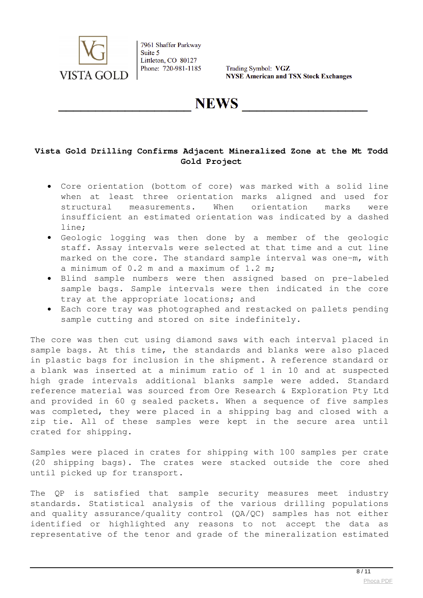

Trading Symbol: VGZ **NYSE American and TSX Stock Exchanges** 

**NEWS** 

### **Vista Gold Drilling Confirms Adjacent Mineralized Zone at the Mt Todd Gold Project**

- Core orientation (bottom of core) was marked with a solid line when at least three orientation marks aligned and used for structural measurements. When orientation marks were insufficient an estimated orientation was indicated by a dashed line;
- Geologic logging was then done by a member of the geologic staff. Assay intervals were selected at that time and a cut line marked on the core. The standard sample interval was one-m, with a minimum of 0.2 m and a maximum of 1.2 m;
- Blind sample numbers were then assigned based on pre-labeled sample bags. Sample intervals were then indicated in the core tray at the appropriate locations; and
- Each core tray was photographed and restacked on pallets pending sample cutting and stored on site indefinitely.

The core was then cut using diamond saws with each interval placed in sample bags. At this time, the standards and blanks were also placed in plastic bags for inclusion in the shipment. A reference standard or a blank was inserted at a minimum ratio of 1 in 10 and at suspected high grade intervals additional blanks sample were added. Standard reference material was sourced from Ore Research & Exploration Pty Ltd and provided in 60 g sealed packets. When a sequence of five samples was completed, they were placed in a shipping bag and closed with a zip tie. All of these samples were kept in the secure area until crated for shipping.

Samples were placed in crates for shipping with 100 samples per crate (20 shipping bags). The crates were stacked outside the core shed until picked up for transport.

The QP is satisfied that sample security measures meet industry standards. Statistical analysis of the various drilling populations and quality assurance/quality control (QA/QC) samples has not either identified or highlighted any reasons to not accept the data as representative of the tenor and grade of the mineralization estimated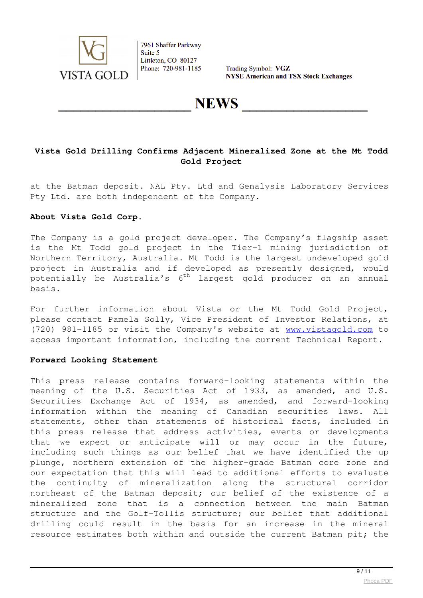

Trading Symbol: VGZ **NYSE American and TSX Stock Exchanges** 

**NEWS** 

### **Vista Gold Drilling Confirms Adjacent Mineralized Zone at the Mt Todd Gold Project**

at the Batman deposit. NAL Pty. Ltd and Genalysis Laboratory Services Pty Ltd. are both independent of the Company.

#### **About Vista Gold Corp.**

The Company is a gold project developer. The Company's flagship asset is the Mt Todd gold project in the Tier-1 mining jurisdiction of Northern Territory, Australia. Mt Todd is the largest undeveloped gold project in Australia and if developed as presently designed, would potentially be Australia's 6<sup>th</sup> largest gold producer on an annual basis.

For further information about Vista or the Mt Todd Gold Project, please contact Pamela Solly, Vice President of Investor Relations, at (720) 981-1185 or visit the Company's website at **[www.vistagold.com](https://www.globenewswire.com/Tracker?data=fC10x6rfEAp0cQmtWFbQxhM7RRrm1ZR4s1MjxIqjRDsUYgDRWYshRBMHUlZxVPxXDXrjCIJq8sMoYVYMajCIBQ==)** to access important information, including the current Technical Report.

#### **Forward Looking Statement**

This press release contains forward-looking statements within the meaning of the U.S. Securities Act of 1933, as amended, and U.S. Securities Exchange Act of 1934, as amended, and forward-looking information within the meaning of Canadian securities laws. All statements, other than statements of historical facts, included in this press release that address activities, events or developments that we expect or anticipate will or may occur in the future, including such things as our belief that we have identified the up plunge, northern extension of the higher-grade Batman core zone and our expectation that this will lead to additional efforts to evaluate the continuity of mineralization along the structural corridor northeast of the Batman deposit; our belief of the existence of a mineralized zone that is a connection between the main Batman structure and the Golf-Tollis structure; our belief that additional drilling could result in the basis for an increase in the mineral resource estimates both within and outside the current Batman pit; the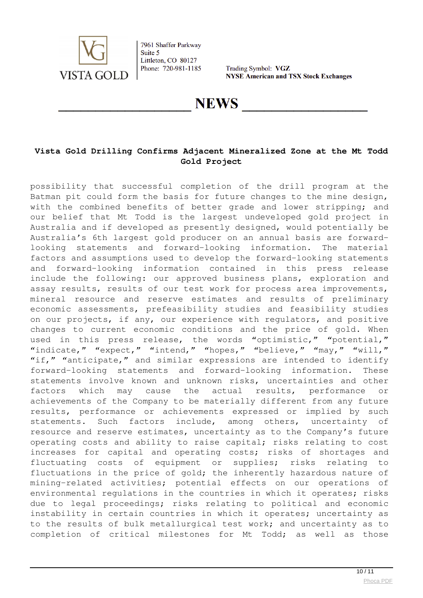

Trading Symbol: VGZ **NYSE American and TSX Stock Exchanges** 

## **NEWS**

### **Vista Gold Drilling Confirms Adjacent Mineralized Zone at the Mt Todd Gold Project**

possibility that successful completion of the drill program at the Batman pit could form the basis for future changes to the mine design, with the combined benefits of better grade and lower stripping; and our belief that Mt Todd is the largest undeveloped gold project in Australia and if developed as presently designed, would potentially be Australia's 6th largest gold producer on an annual basis are forwardlooking statements and forward-looking information. The material factors and assumptions used to develop the forward-looking statements and forward-looking information contained in this press release include the following: our approved business plans, exploration and assay results, results of our test work for process area improvements, mineral resource and reserve estimates and results of preliminary economic assessments, prefeasibility studies and feasibility studies on our projects, if any, our experience with regulators, and positive changes to current economic conditions and the price of gold. When used in this press release, the words "optimistic," "potential," "indicate," "expect," "intend," "hopes," "believe," "may," "will," "if," "anticipate," and similar expressions are intended to identify forward-looking statements and forward-looking information. These statements involve known and unknown risks, uncertainties and other factors which may cause the actual results, performance or achievements of the Company to be materially different from any future results, performance or achievements expressed or implied by such statements. Such factors include, among others, uncertainty of resource and reserve estimates, uncertainty as to the Company's future operating costs and ability to raise capital; risks relating to cost increases for capital and operating costs; risks of shortages and fluctuating costs of equipment or supplies; risks relating to fluctuations in the price of gold; the inherently hazardous nature of mining-related activities; potential effects on our operations of environmental regulations in the countries in which it operates; risks due to legal proceedings; risks relating to political and economic instability in certain countries in which it operates; uncertainty as to the results of bulk metallurgical test work; and uncertainty as to completion of critical milestones for Mt Todd; as well as those